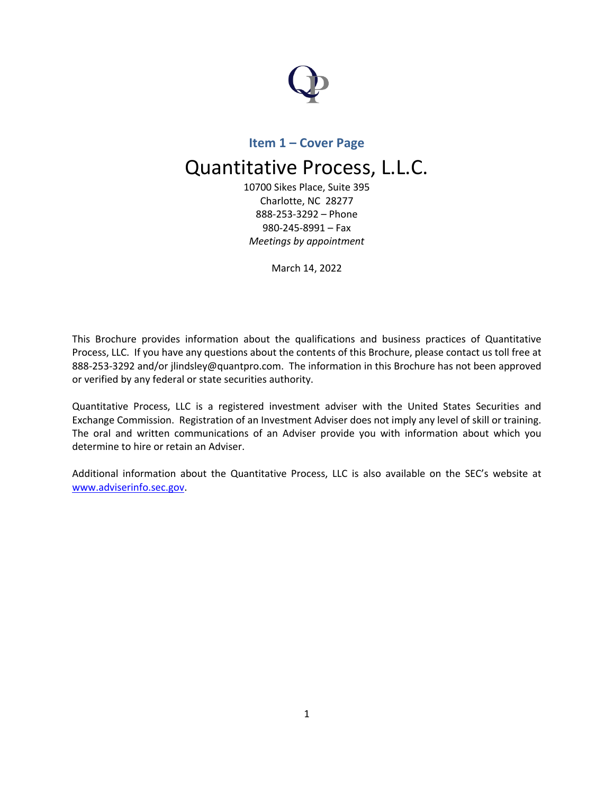

# **Item 1 – Cover Page**

# Quantitative Process, L.L.C.

10700 Sikes Place, Suite 395 Charlotte, NC 28277 888-253-3292 – Phone 980-245-8991 – Fax *Meetings by appointment*

March 14, 2022

This Brochure provides information about the qualifications and business practices of Quantitative Process, LLC. If you have any questions about the contents of this Brochure, please contact us toll free at 888-253-3292 and/or jlindsley@quantpro.com. The information in this Brochure has not been approved or verified by any federal or state securities authority.

Quantitative Process, LLC is a registered investment adviser with the United States Securities and Exchange Commission. Registration of an Investment Adviser does not imply any level of skill or training. The oral and written communications of an Adviser provide you with information about which you determine to hire or retain an Adviser.

Additional information about the Quantitative Process, LLC is also available on the SEC's website at www.adviserinfo.sec.gov.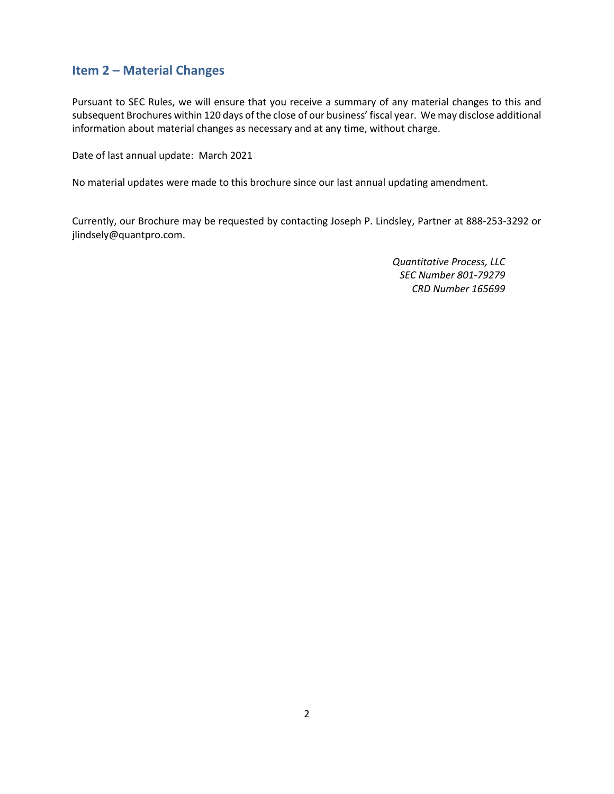# **Item 2 – Material Changes**

Pursuant to SEC Rules, we will ensure that you receive a summary of any material changes to this and subsequent Brochures within 120 days of the close of our business' fiscal year. We may disclose additional information about material changes as necessary and at any time, without charge.

Date of last annual update: March 2021

No material updates were made to this brochure since our last annual updating amendment.

Currently, our Brochure may be requested by contacting Joseph P. Lindsley, Partner at 888-253-3292 or jlindsely@quantpro.com.

> *Quantitative Process, LLC SEC Number 801-79279 CRD Number 165699*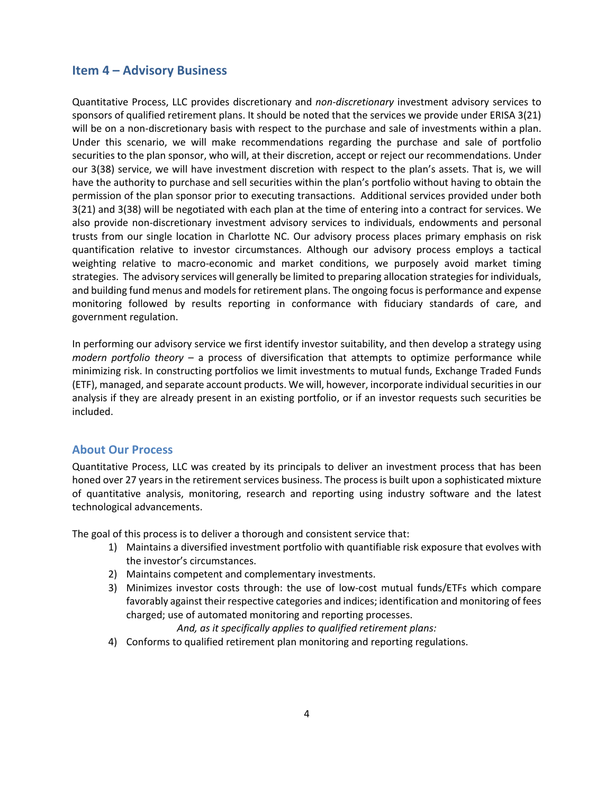## **Item 4 – Advisory Business**

Quantitative Process, LLC provides discretionary and *non-discretionary* investment advisory services to sponsors of qualified retirement plans. It should be noted that the services we provide under ERISA 3(21) will be on a non-discretionary basis with respect to the purchase and sale of investments within a plan. Under this scenario, we will make recommendations regarding the purchase and sale of portfolio securities to the plan sponsor, who will, at their discretion, accept or reject our recommendations. Under our 3(38) service, we will have investment discretion with respect to the plan's assets. That is, we will have the authority to purchase and sell securities within the plan's portfolio without having to obtain the permission of the plan sponsor prior to executing transactions. Additional services provided under both 3(21) and 3(38) will be negotiated with each plan at the time of entering into a contract for services. We also provide non-discretionary investment advisory services to individuals, endowments and personal trusts from our single location in Charlotte NC. Our advisory process places primary emphasis on risk quantification relative to investor circumstances. Although our advisory process employs a tactical weighting relative to macro-economic and market conditions, we purposely avoid market timing strategies. The advisory services will generally be limited to preparing allocation strategies for individuals, and building fund menus and models for retirement plans. The ongoing focus is performance and expense monitoring followed by results reporting in conformance with fiduciary standards of care, and government regulation.

In performing our advisory service we first identify investor suitability, and then develop a strategy using *modern portfolio theory* – a process of diversification that attempts to optimize performance while minimizing risk. In constructing portfolios we limit investments to mutual funds, Exchange Traded Funds (ETF), managed, and separate account products. We will, however, incorporate individual securities in our analysis if they are already present in an existing portfolio, or if an investor requests such securities be included.

#### **About Our Process**

Quantitative Process, LLC was created by its principals to deliver an investment process that has been honed over 27 years in the retirement services business. The process is built upon a sophisticated mixture of quantitative analysis, monitoring, research and reporting using industry software and the latest technological advancements.

The goal of this process is to deliver a thorough and consistent service that:

- 1) Maintains a diversified investment portfolio with quantifiable risk exposure that evolves with the investor's circumstances.
- 2) Maintains competent and complementary investments.
- 3) Minimizes investor costs through: the use of low-cost mutual funds/ETFs which compare favorably against their respective categories and indices; identification and monitoring of fees charged; use of automated monitoring and reporting processes.

*And, as it specifically applies to qualified retirement plans:*

4) Conforms to qualified retirement plan monitoring and reporting regulations.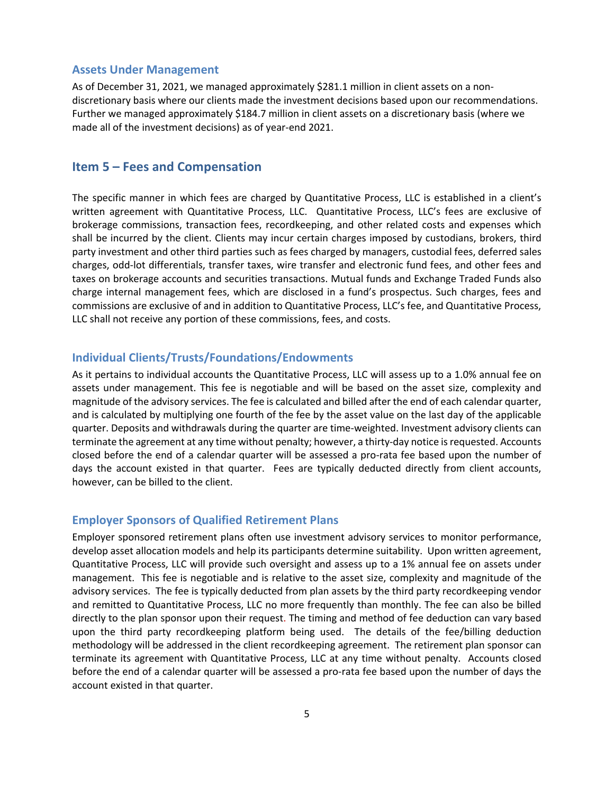#### **Assets Under Management**

As of December 31, 2021, we managed approximately \$281.1 million in client assets on a nondiscretionary basis where our clients made the investment decisions based upon our recommendations. Further we managed approximately \$184.7 million in client assets on a discretionary basis (where we made all of the investment decisions) as of year-end 2021.

# **Item 5 – Fees and Compensation**

The specific manner in which fees are charged by Quantitative Process, LLC is established in a client's written agreement with Quantitative Process, LLC. Quantitative Process, LLC's fees are exclusive of brokerage commissions, transaction fees, recordkeeping, and other related costs and expenses which shall be incurred by the client. Clients may incur certain charges imposed by custodians, brokers, third party investment and other third parties such as fees charged by managers, custodial fees, deferred sales charges, odd-lot differentials, transfer taxes, wire transfer and electronic fund fees, and other fees and taxes on brokerage accounts and securities transactions. Mutual funds and Exchange Traded Funds also charge internal management fees, which are disclosed in a fund's prospectus. Such charges, fees and commissions are exclusive of and in addition to Quantitative Process, LLC's fee, and Quantitative Process, LLC shall not receive any portion of these commissions, fees, and costs.

## **Individual Clients/Trusts/Foundations/Endowments**

As it pertains to individual accounts the Quantitative Process, LLC will assess up to a 1.0% annual fee on assets under management. This fee is negotiable and will be based on the asset size, complexity and magnitude of the advisory services. The fee is calculated and billed after the end of each calendar quarter, and is calculated by multiplying one fourth of the fee by the asset value on the last day of the applicable quarter. Deposits and withdrawals during the quarter are time-weighted. Investment advisory clients can terminate the agreement at any time without penalty; however, a thirty-day notice is requested. Accounts closed before the end of a calendar quarter will be assessed a pro-rata fee based upon the number of days the account existed in that quarter. Fees are typically deducted directly from client accounts, however, can be billed to the client.

### **Employer Sponsors of Qualified Retirement Plans**

Employer sponsored retirement plans often use investment advisory services to monitor performance, develop asset allocation models and help its participants determine suitability. Upon written agreement, Quantitative Process, LLC will provide such oversight and assess up to a 1% annual fee on assets under management. This fee is negotiable and is relative to the asset size, complexity and magnitude of the advisory services. The fee is typically deducted from plan assets by the third party recordkeeping vendor and remitted to Quantitative Process, LLC no more frequently than monthly. The fee can also be billed directly to the plan sponsor upon their request. The timing and method of fee deduction can vary based upon the third party recordkeeping platform being used. The details of the fee/billing deduction methodology will be addressed in the client recordkeeping agreement. The retirement plan sponsor can terminate its agreement with Quantitative Process, LLC at any time without penalty. Accounts closed before the end of a calendar quarter will be assessed a pro-rata fee based upon the number of days the account existed in that quarter.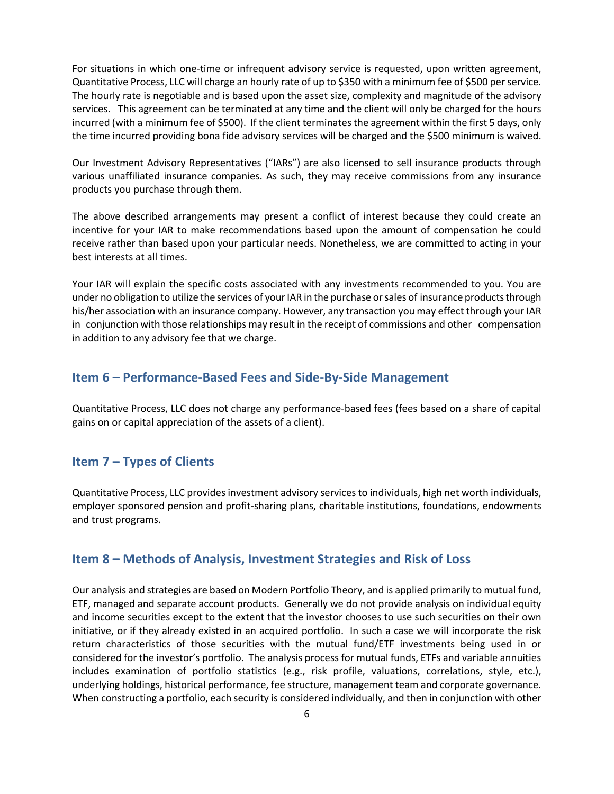For situations in which one-time or infrequent advisory service is requested, upon written agreement, Quantitative Process, LLC will charge an hourly rate of up to \$350 with a minimum fee of \$500 per service. The hourly rate is negotiable and is based upon the asset size, complexity and magnitude of the advisory services. This agreement can be terminated at any time and the client will only be charged for the hours incurred (with a minimum fee of \$500). If the client terminates the agreement within the first 5 days, only the time incurred providing bona fide advisory services will be charged and the \$500 minimum is waived.

Our Investment Advisory Representatives ("IARs") are also licensed to sell insurance products through various unaffiliated insurance companies. As such, they may receive commissions from any insurance products you purchase through them.

The above described arrangements may present a conflict of interest because they could create an incentive for your IAR to make recommendations based upon the amount of compensation he could receive rather than based upon your particular needs. Nonetheless, we are committed to acting in your best interests at all times.

Your IAR will explain the specific costs associated with any investments recommended to you. You are under no obligation to utilize the services of your IAR in the purchase or sales of insurance products through his/her association with an insurance company. However, any transaction you may effect through your IAR in conjunction with those relationships may result in the receipt of commissions and other compensation in addition to any advisory fee that we charge.

# **Item 6 – Performance-Based Fees and Side-By-Side Management**

Quantitative Process, LLC does not charge any performance-based fees (fees based on a share of capital gains on or capital appreciation of the assets of a client).

# **Item 7 – Types of Clients**

Quantitative Process, LLC provides investment advisory services to individuals, high net worth individuals, employer sponsored pension and profit-sharing plans, charitable institutions, foundations, endowments and trust programs.

# **Item 8 – Methods of Analysis, Investment Strategies and Risk of Loss**

Our analysis and strategies are based on Modern Portfolio Theory, and is applied primarily to mutual fund, ETF, managed and separate account products. Generally we do not provide analysis on individual equity and income securities except to the extent that the investor chooses to use such securities on their own initiative, or if they already existed in an acquired portfolio. In such a case we will incorporate the risk return characteristics of those securities with the mutual fund/ETF investments being used in or considered for the investor's portfolio. The analysis process for mutual funds, ETFs and variable annuities includes examination of portfolio statistics (e.g., risk profile, valuations, correlations, style, etc.), underlying holdings, historical performance, fee structure, management team and corporate governance. When constructing a portfolio, each security is considered individually, and then in conjunction with other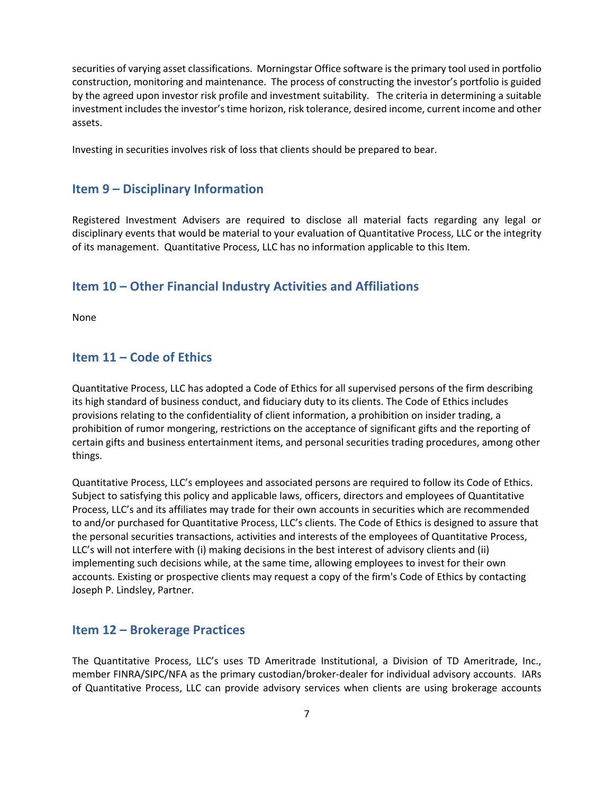securities of varying asset classifications. Morningstar Office software is the primary tool used in portfolio construction, monitoring and maintenance. The process of constructing the investor's portfolio is guided by the agreed upon investor risk profile and investment suitability. The criteria in determining a suitable investment includes the investor's time horizon, risk tolerance, desired income, current income and other assets.

Investing in securities involves risk of loss that clients should be prepared to bear.

# **Item 9 – Disciplinary Information**

Registered Investment Advisers are required to disclose all material facts regarding any legal or disciplinary events that would be material to your evaluation of Quantitative Process, LLC or the integrity of its management. Quantitative Process, LLC has no information applicable to this Item.

# **Item 10 – Other Financial Industry Activities and Affiliations**

None

# **Item 11 – Code of Ethics**

Quantitative Process, LLC has adopted a Code of Ethics for all supervised persons of the firm describing its high standard of business conduct, and fiduciary duty to its clients. The Code of Ethics includes provisions relating to the confidentiality of client information, a prohibition on insider trading, a prohibition of rumor mongering, restrictions on the acceptance of significant gifts and the reporting of certain gifts and business entertainment items, and personal securities trading procedures, among other things.

Quantitative Process, LLC's employees and associated persons are required to follow its Code of Ethics. Subject to satisfying this policy and applicable laws, officers, directors and employees of Quantitative Process, LLC's and its affiliates may trade for their own accounts in securities which are recommended to and/or purchased for Quantitative Process, LLC's clients. The Code of Ethics is designed to assure that the personal securities transactions, activities and interests of the employees of Quantitative Process, LLC's will not interfere with (i) making decisions in the best interest of advisory clients and (ii) implementing such decisions while, at the same time, allowing employees to invest for their own accounts. Existing or prospective clients may request a copy of the firm's Code of Ethics by contacting Joseph P. Lindsley, Partner.

# **Item 12 – Brokerage Practices**

The Quantitative Process, LLC's uses TD Ameritrade Institutional, a Division of TD Ameritrade, Inc., member FINRA/SIPC/NFA as the primary custodian/broker-dealer for individual advisory accounts. IARs of Quantitative Process, LLC can provide advisory services when clients are using brokerage accounts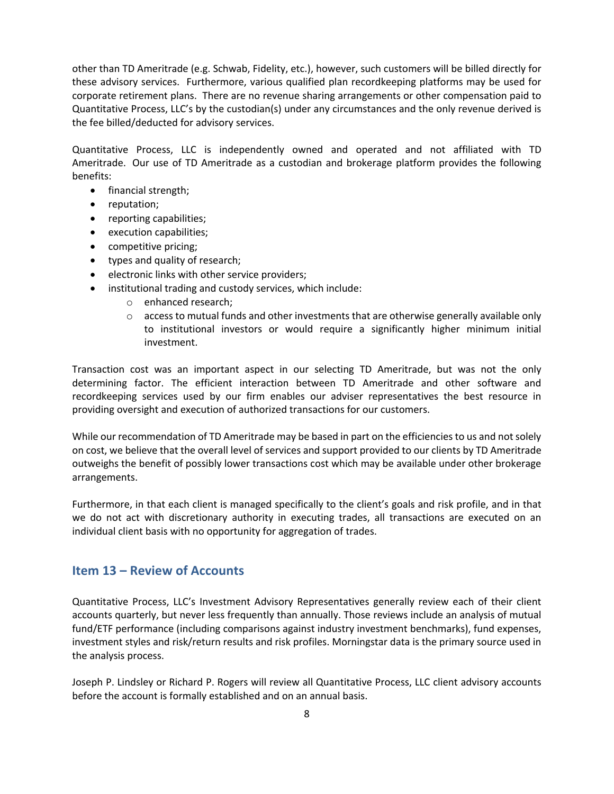other than TD Ameritrade (e.g. Schwab, Fidelity, etc.), however, such customers will be billed directly for these advisory services. Furthermore, various qualified plan recordkeeping platforms may be used for corporate retirement plans. There are no revenue sharing arrangements or other compensation paid to Quantitative Process, LLC's by the custodian(s) under any circumstances and the only revenue derived is the fee billed/deducted for advisory services.

Quantitative Process, LLC is independently owned and operated and not affiliated with TD Ameritrade. Our use of TD Ameritrade as a custodian and brokerage platform provides the following benefits:

- financial strength;
- reputation;
- reporting capabilities;
- execution capabilities;
- competitive pricing;
- types and quality of research;
- electronic links with other service providers;
- institutional trading and custody services, which include:
	- o enhanced research;
	- $\circ$  access to mutual funds and other investments that are otherwise generally available only to institutional investors or would require a significantly higher minimum initial investment.

Transaction cost was an important aspect in our selecting TD Ameritrade, but was not the only determining factor. The efficient interaction between TD Ameritrade and other software and recordkeeping services used by our firm enables our adviser representatives the best resource in providing oversight and execution of authorized transactions for our customers.

While our recommendation of TD Ameritrade may be based in part on the efficiencies to us and not solely on cost, we believe that the overall level of services and support provided to our clients by TD Ameritrade outweighs the benefit of possibly lower transactions cost which may be available under other brokerage arrangements.

Furthermore, in that each client is managed specifically to the client's goals and risk profile, and in that we do not act with discretionary authority in executing trades, all transactions are executed on an individual client basis with no opportunity for aggregation of trades.

# **Item 13 – Review of Accounts**

Quantitative Process, LLC's Investment Advisory Representatives generally review each of their client accounts quarterly, but never less frequently than annually. Those reviews include an analysis of mutual fund/ETF performance (including comparisons against industry investment benchmarks), fund expenses, investment styles and risk/return results and risk profiles. Morningstar data is the primary source used in the analysis process.

Joseph P. Lindsley or Richard P. Rogers will review all Quantitative Process, LLC client advisory accounts before the account is formally established and on an annual basis.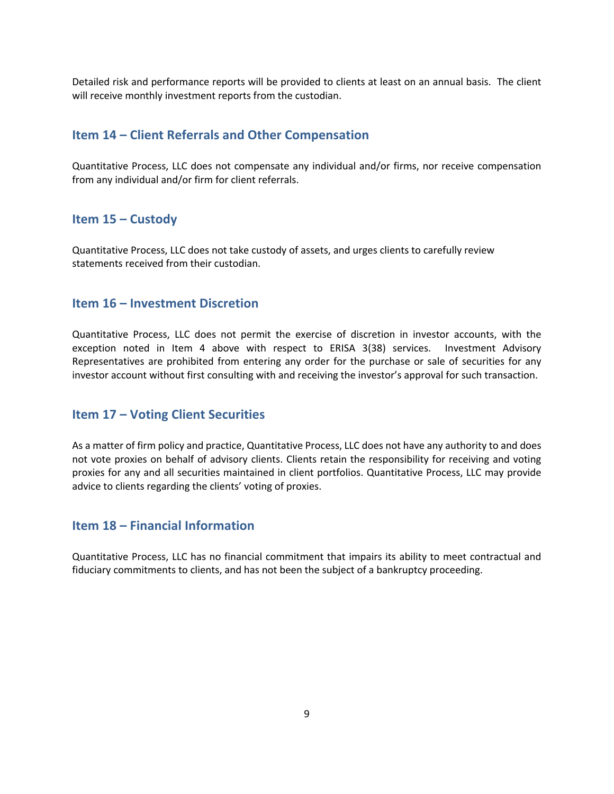Detailed risk and performance reports will be provided to clients at least on an annual basis. The client will receive monthly investment reports from the custodian.

# **Item 14 – Client Referrals and Other Compensation**

Quantitative Process, LLC does not compensate any individual and/or firms, nor receive compensation from any individual and/or firm for client referrals.

# **Item 15 – Custody**

Quantitative Process, LLC does not take custody of assets, and urges clients to carefully review statements received from their custodian.

# **Item 16 – Investment Discretion**

Quantitative Process, LLC does not permit the exercise of discretion in investor accounts, with the exception noted in Item 4 above with respect to ERISA 3(38) services. Investment Advisory Representatives are prohibited from entering any order for the purchase or sale of securities for any investor account without first consulting with and receiving the investor's approval for such transaction.

# **Item 17 – Voting Client Securities**

As a matter of firm policy and practice, Quantitative Process, LLC does not have any authority to and does not vote proxies on behalf of advisory clients. Clients retain the responsibility for receiving and voting proxies for any and all securities maintained in client portfolios. Quantitative Process, LLC may provide advice to clients regarding the clients' voting of proxies.

# **Item 18 – Financial Information**

Quantitative Process, LLC has no financial commitment that impairs its ability to meet contractual and fiduciary commitments to clients, and has not been the subject of a bankruptcy proceeding.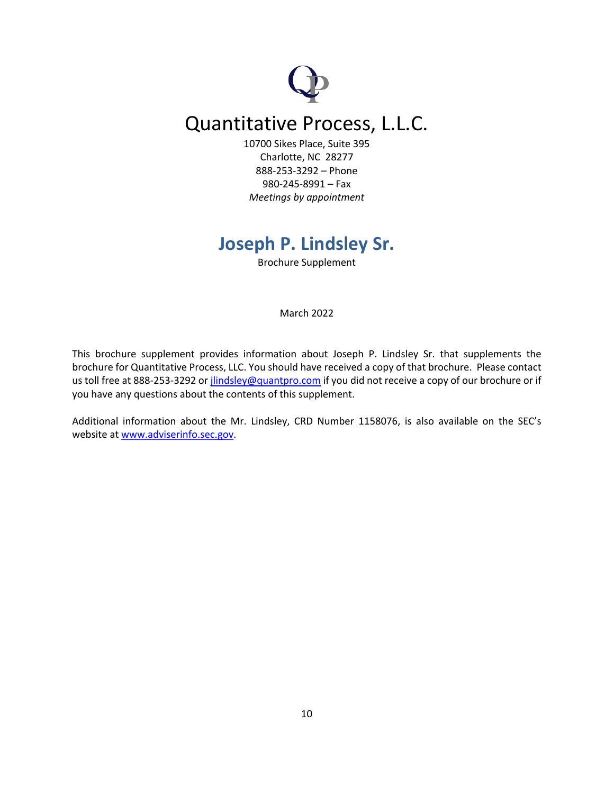# Quantitative Process, L.L.C.

10700 Sikes Place, Suite 395 Charlotte, NC 28277 888-253-3292 – Phone 980-245-8991 – Fax *Meetings by appointment*

# **Joseph P. Lindsley Sr.**

Brochure Supplement

March 2022

This brochure supplement provides information about Joseph P. Lindsley Sr. that supplements the brochure for Quantitative Process, LLC. You should have received a copy of that brochure. Please contact us toll free at 888-253-3292 or jlindsley@quantpro.com if you did not receive a copy of our brochure or if you have any questions about the contents of this supplement.

Additional information about the Mr. Lindsley, CRD Number 1158076, is also available on the SEC's website at www.adviserinfo.sec.gov.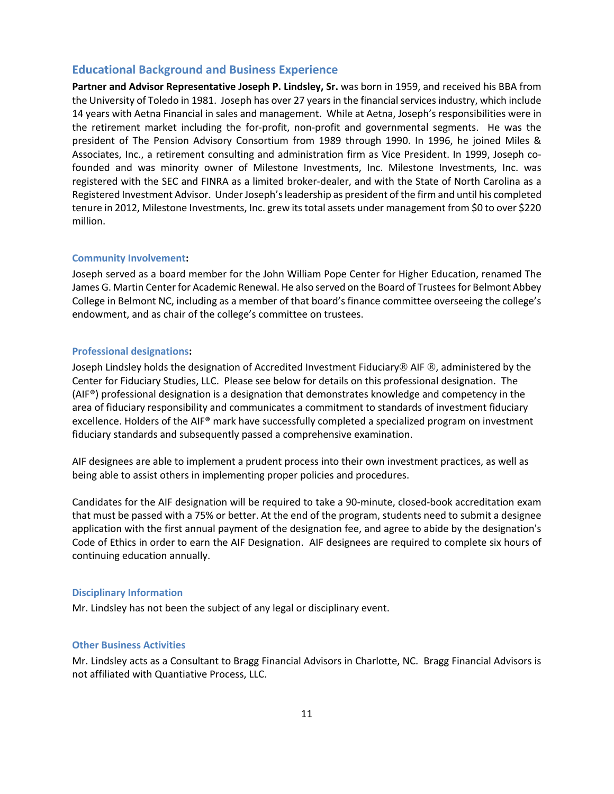#### **Educational Background and Business Experience**

**Partner and Advisor Representative Joseph P. Lindsley, Sr.** was born in 1959, and received his BBA from the University of Toledo in 1981. Joseph has over 27 years in the financial services industry, which include 14 years with Aetna Financial in sales and management. While at Aetna, Joseph's responsibilities were in the retirement market including the for-profit, non-profit and governmental segments. He was the president of The Pension Advisory Consortium from 1989 through 1990. In 1996, he joined Miles & Associates, Inc., a retirement consulting and administration firm as Vice President. In 1999, Joseph cofounded and was minority owner of Milestone Investments, Inc. Milestone Investments, Inc. was registered with the SEC and FINRA as a limited broker-dealer, and with the State of North Carolina as a Registered Investment Advisor. Under Joseph's leadership as president of the firm and until his completed tenure in 2012, Milestone Investments, Inc. grew its total assets under management from \$0 to over \$220 million.

#### **Community Involvement:**

Joseph served as a board member for the John William Pope Center for Higher Education, renamed The James G. Martin Centerfor Academic Renewal. He also served on the Board of Trustees for Belmont Abbey College in Belmont NC, including as a member of that board's finance committee overseeing the college's endowment, and as chair of the college's committee on trustees.

#### **Professional designations:**

Joseph Lindsley holds the designation of Accredited Investment Fiduciary $\circledR$  AIF  $\circledR$ , administered by the Center for Fiduciary Studies, LLC. Please see below for details on this professional designation. The (AIF®) professional designation is a designation that demonstrates knowledge and competency in the area of fiduciary responsibility and communicates a commitment to standards of investment fiduciary excellence. Holders of the AIF® mark have successfully completed a specialized program on investment fiduciary standards and subsequently passed a comprehensive examination.

AIF designees are able to implement a prudent process into their own investment practices, as well as being able to assist others in implementing proper policies and procedures.

Candidates for the AIF designation will be required to take a 90-minute, closed-book accreditation exam that must be passed with a 75% or better. At the end of the program, students need to submit a designee application with the first annual payment of the designation fee, and agree to abide by the designation's Code of Ethics in order to earn the AIF Designation. AIF designees are required to complete six hours of continuing education annually.

#### **Disciplinary Information**

Mr. Lindsley has not been the subject of any legal or disciplinary event.

#### **Other Business Activities**

Mr. Lindsley acts as a Consultant to Bragg Financial Advisors in Charlotte, NC. Bragg Financial Advisors is not affiliated with Quantiative Process, LLC.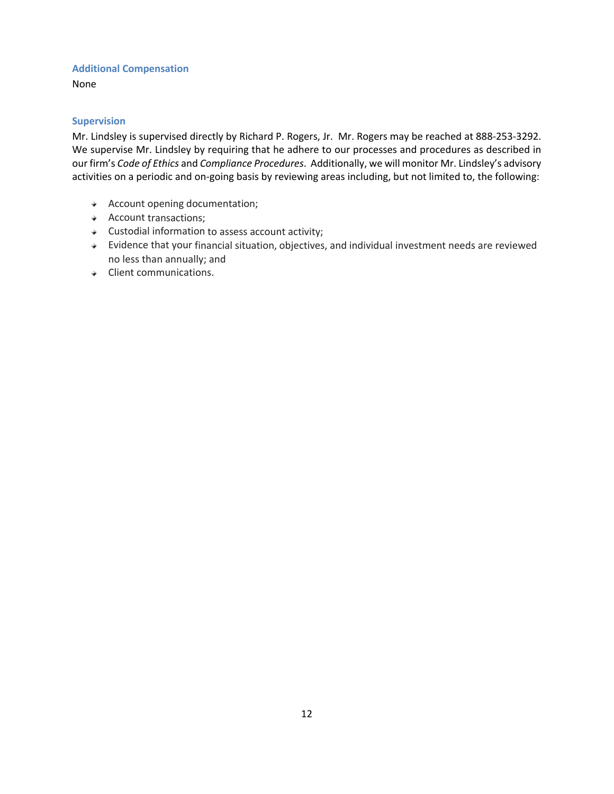### **Additional Compensation**

None

### **Supervision**

Mr. Lindsley is supervised directly by Richard P. Rogers, Jr. Mr. Rogers may be reached at 888-253-3292. We supervise Mr. Lindsley by requiring that he adhere to our processes and procedures as described in our firm's *Code of Ethics* and *Compliance Procedures*. Additionally, we will monitor Mr. Lindsley's advisory activities on a periodic and on-going basis by reviewing areas including, but not limited to, the following:

- Account opening documentation;
- Account transactions;
- $\triangleleft$  Custodial information to assess account activity;
- Evidence that your financial situation, objectives, and individual investment needs are reviewed no less than annually; and
- $\triangleleft$  Client communications.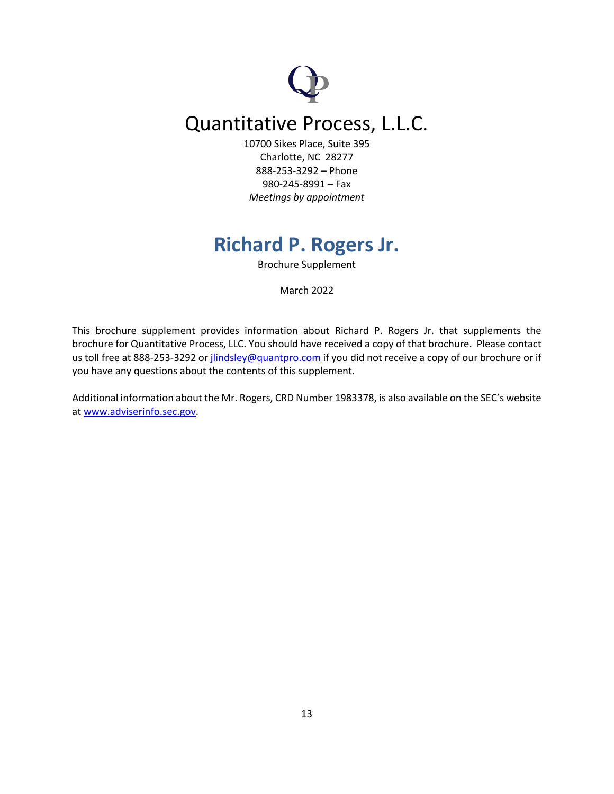# Quantitative Process, L.L.C.

10700 Sikes Place, Suite 395 Charlotte, NC 28277 888-253-3292 – Phone 980-245-8991 – Fax *Meetings by appointment*

# **Richard P. Rogers Jr.**

Brochure Supplement

March 2022

This brochure supplement provides information about Richard P. Rogers Jr. that supplements the brochure for Quantitative Process, LLC. You should have received a copy of that brochure. Please contact us toll free at 888-253-3292 or jlindsley@quantpro.com if you did not receive a copy of our brochure or if you have any questions about the contents of this supplement.

Additional information about the Mr. Rogers, CRD Number 1983378, is also available on the SEC's website at www.adviserinfo.sec.gov.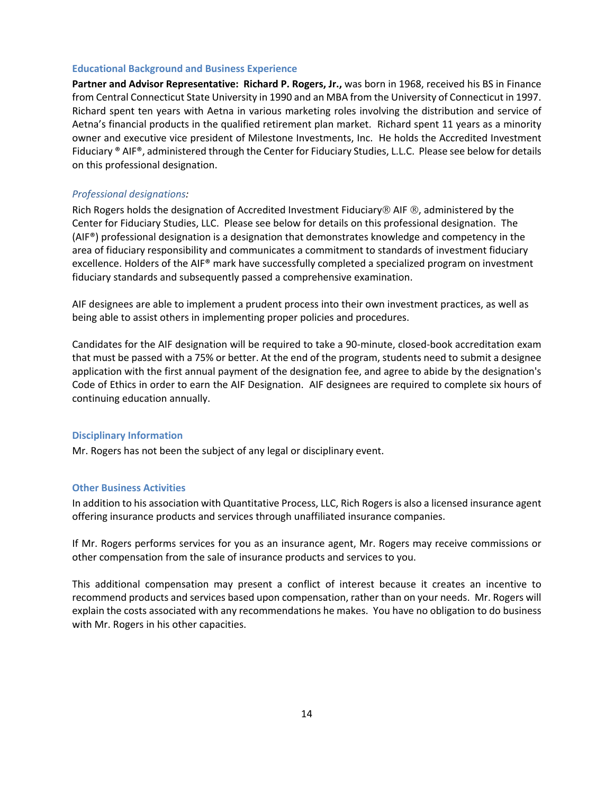#### **Educational Background and Business Experience**

Partner and Advisor Representative: Richard P. Rogers, Jr., was born in 1968, received his BS in Finance from Central Connecticut State University in 1990 and an MBA from the University of Connecticut in 1997. Richard spent ten years with Aetna in various marketing roles involving the distribution and service of Aetna's financial products in the qualified retirement plan market. Richard spent 11 years as a minority owner and executive vice president of Milestone Investments, Inc. He holds the Accredited Investment Fiduciary ® AIF®, administered through the Center for Fiduciary Studies, L.L.C. Please see below for details on this professional designation.

#### *Professional designations:*

Rich Rogers holds the designation of Accredited Investment Fiduciary® AIF ®, administered by the Center for Fiduciary Studies, LLC. Please see below for details on this professional designation. The (AIF®) professional designation is a designation that demonstrates knowledge and competency in the area of fiduciary responsibility and communicates a commitment to standards of investment fiduciary excellence. Holders of the AIF® mark have successfully completed a specialized program on investment fiduciary standards and subsequently passed a comprehensive examination.

AIF designees are able to implement a prudent process into their own investment practices, as well as being able to assist others in implementing proper policies and procedures.

Candidates for the AIF designation will be required to take a 90-minute, closed-book accreditation exam that must be passed with a 75% or better. At the end of the program, students need to submit a designee application with the first annual payment of the designation fee, and agree to abide by the designation's Code of Ethics in order to earn the AIF Designation. AIF designees are required to complete six hours of continuing education annually.

#### **Disciplinary Information**

Mr. Rogers has not been the subject of any legal or disciplinary event.

#### **Other Business Activities**

In addition to his association with Quantitative Process, LLC, Rich Rogers is also a licensed insurance agent offering insurance products and services through unaffiliated insurance companies.

If Mr. Rogers performs services for you as an insurance agent, Mr. Rogers may receive commissions or other compensation from the sale of insurance products and services to you.

This additional compensation may present a conflict of interest because it creates an incentive to recommend products and services based upon compensation, rather than on your needs. Mr. Rogers will explain the costs associated with any recommendations he makes. You have no obligation to do business with Mr. Rogers in his other capacities.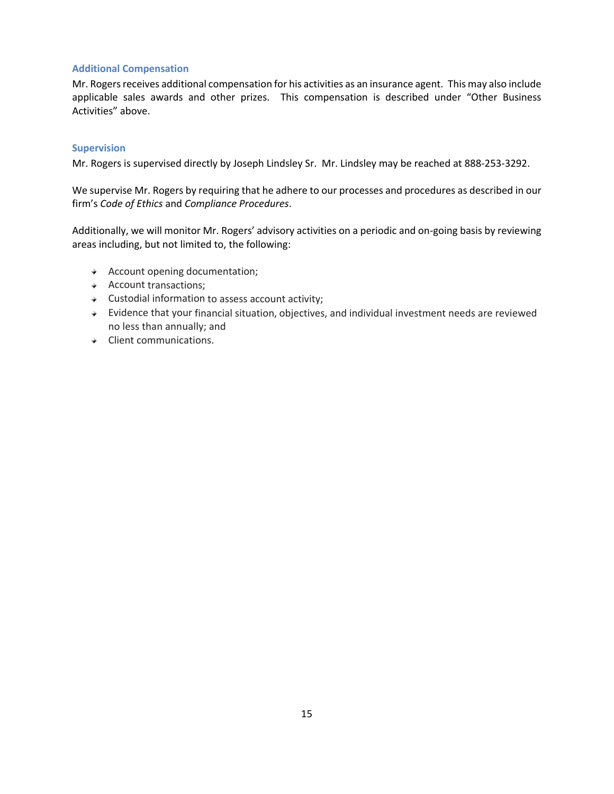### **Additional Compensation**

Mr. Rogers receives additional compensation for his activities as an insurance agent. This may also include applicable sales awards and other prizes. This compensation is described under "Other Business Activities" above.

#### **Supervision**

Mr. Rogers is supervised directly by Joseph Lindsley Sr. Mr. Lindsley may be reached at 888-253-3292.

We supervise Mr. Rogers by requiring that he adhere to our processes and procedures as described in our firm's *Code of Ethics* and *Compliance Procedures*.

Additionally, we will monitor Mr. Rogers' advisory activities on a periodic and on-going basis by reviewing areas including, but not limited to, the following:

- Account opening documentation;
- Account transactions;
- Custodial information to assess account activity;
- Evidence that your financial situation, objectives, and individual investment needs are reviewed no less than annually; and
- Client communications.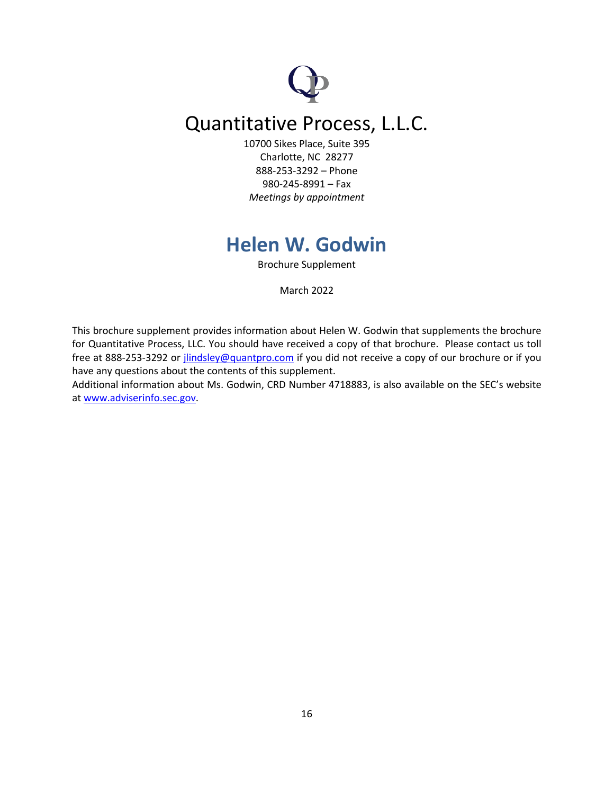# Quantitative Process, L.L.C.

10700 Sikes Place, Suite 395 Charlotte, NC 28277 888-253-3292 – Phone 980-245-8991 – Fax *Meetings by appointment*

# **Helen W. Godwin**

Brochure Supplement

March 2022

This brochure supplement provides information about Helen W. Godwin that supplements the brochure for Quantitative Process, LLC. You should have received a copy of that brochure. Please contact us toll free at 888-253-3292 or *jlindsley@quantpro.com* if you did not receive a copy of our brochure or if you have any questions about the contents of this supplement.

Additional information about Ms. Godwin, CRD Number 4718883, is also available on the SEC's website at www.adviserinfo.sec.gov.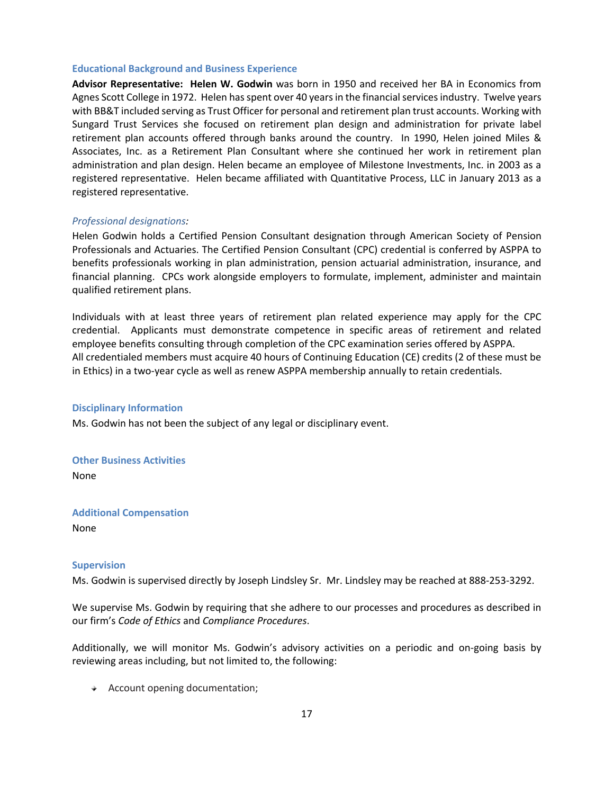#### **Educational Background and Business Experience**

**Advisor Representative: Helen W. Godwin** was born in 1950 and received her BA in Economics from Agnes Scott College in 1972. Helen has spent over 40 years in the financial services industry. Twelve years with BB&T included serving as Trust Officer for personal and retirement plan trust accounts. Working with Sungard Trust Services she focused on retirement plan design and administration for private label retirement plan accounts offered through banks around the country. In 1990, Helen joined Miles & Associates, Inc. as a Retirement Plan Consultant where she continued her work in retirement plan administration and plan design. Helen became an employee of Milestone Investments, Inc. in 2003 as a registered representative. Helen became affiliated with Quantitative Process, LLC in January 2013 as a registered representative.

#### *Professional designations:*

Helen Godwin holds a Certified Pension Consultant designation through American Society of Pension Professionals and Actuaries. The Certified Pension Consultant (CPC) credential is conferred by ASPPA to benefits professionals working in plan administration, pension actuarial administration, insurance, and financial planning. CPCs work alongside employers to formulate, implement, administer and maintain qualified retirement plans.

Individuals with at least three years of retirement plan related experience may apply for the CPC credential. Applicants must demonstrate competence in specific areas of retirement and related employee benefits consulting through completion of the CPC examination series offered by ASPPA. All credentialed members must acquire 40 hours of Continuing Education (CE) credits (2 of these must be in Ethics) in a two-year cycle as well as renew ASPPA membership annually to retain credentials.

#### **Disciplinary Information**

Ms. Godwin has not been the subject of any legal or disciplinary event.

**Other Business Activities** None

**Additional Compensation** None

#### **Supervision**

Ms. Godwin is supervised directly by Joseph Lindsley Sr. Mr. Lindsley may be reached at 888-253-3292.

We supervise Ms. Godwin by requiring that she adhere to our processes and procedures as described in our firm's *Code of Ethics* and *Compliance Procedures*.

Additionally, we will monitor Ms. Godwin's advisory activities on a periodic and on-going basis by reviewing areas including, but not limited to, the following:

Account opening documentation;